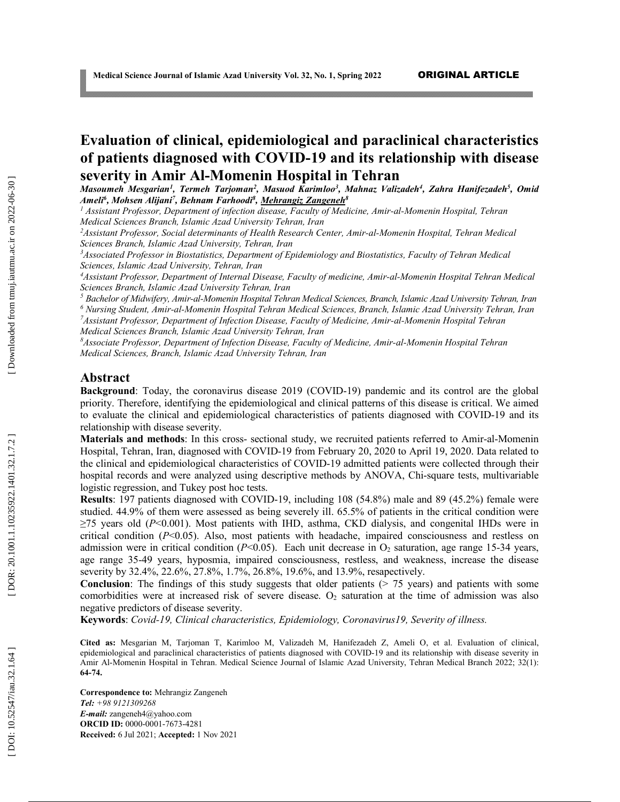# **Evaluation of clinical, epidemiological and paraclinical characteristics of patients diagnosed with COVID -19 and its relationship with disease severity in Amir Al -Momenin Hospital in Tehran**

*Masoumeh Mesgarian 1 , Termeh Tarjoman 2 , Masuod Karimloo 3 , Mahnaz Valizadeh 4 , Zahra Hanifezadeh 5 , Omid Ameli 6 , Mohsen Alijani 7 , Behnam Farhoodi8 , Mehrangiz Zangeneh 8*

*<sup>1</sup> Assistant Professor, Department of infection disease, Faculty of Medicine, Amir -al -Momenin Hospital, Tehran Medical Sciences Branch, Islamic Azad University Tehran, Iran*

*2 Assistant Professor, Social determinants of Health Research Center, Amir -al-Momenin Hospital, Tehran Medical Sciences Branch, Islamic Azad University, Tehran, Iran*

*3 Associated Professor in Biostatistics, Department of Epidemiology and Biostatistics, Faculty of Tehran Medical Sciences, Islamic Azad University, Tehran, Iran*

*4 Assistant Professor, Department of Internal Disease, Faculty of medicine, Amir - a l-Momenin Hospital Tehran Medical Sciences Branch, Islamic Azad University Tehran, Ira n*

*<sup>5</sup> Bachelor of Midwifery, Amir-al-Momenin Hospital Tehran Medical Sciences, Branch, Islamic Azad University Tehran, Iran*

*<sup>6</sup> Nursing Student, Amir -al-Momenin Hospital Tehran Medical Sciences, Branch, Islamic Azad University Tehran, Iran 7 Assistant Professor, Department of Infection Disease, Faculty of Medicine, Amir -al -Momenin Hospital Tehran Medical Sciences Branch, Islamic Azad University Tehran, Iran*

*8 Associate Professor, Department of Infection Disease, Faculty of Medicine, Amir -al -Momenin Hospital Tehran Medical Sciences, Branch, Islamic Azad University Tehran, Iran*

#### **Abstract**

**Background**: Today, the coronavirus disease 2019 (COVID -19) pandemic and its control are the global priority. Therefore, identifying the epidemiological and clinical patterns of this disease is critical. We aimed to evaluate the clinical and epidemiological characteristics of patients diagnosed with COVID -19 and its relationship with disease severity.

Materials and methods: In this cross- sectional study, we recruited patients referred to Amir-al-Momenin Hospital, Tehran, Iran, diagnosed with COVID -19 from February 20, 2020 to April 19, 2020. Data related to the clinical and epidemiological characteristics of COVID -19 admitted patients were collected through their hospital records and were analyzed using descriptive methods by ANOVA, Chi-square tests, multivariable logistic regression, and Tukey post hoc tests.

**Results**: 197 patients diagnosed with COVID -19, including 108 (54.8%) male and 89 (45.2%) female were studied. 44.9% of them were assessed as being severely ill. 65.5% of patients in the critical condition were ≥75 years old (*P*<0.001). Most patients with IHD, asthma, CKD dialysis, and congenital IHDs were in critical condition (*P*<0.05). Also, most patients with headache, impaired consciousness and restless on admission were in critical condition ( $P<0.05$ ). Each unit decrease in  $O_2$  saturation, age range 15-34 years, age range 35 -49 years, hyposmia, impaired consciousness, restless, and weakness, increase the disease severity by 32.4%, 22.6%, 27.8%, 1.7%, 26.8%, 19.6%, and 13.9%, resapectively.

Conclusion: The findings of this study suggests that older patients (> 75 years) and patients with some comorbidities were at increased risk of severe disease.  $O_2$  saturation at the time of admission was also negative predictors of disease severity .

**Keywords**: *Covid-19, Clinical characteristics, Epidemiology, Coronavirus19, Severity of illness .*

**Cited as:** Mesgarian M, Tarjoman T, Karimloo M, Valizadeh M, Hanifezadeh Z, Ameli O, et al. Evaluation of clinical, epidemiological and paraclinical characteristics of patients diagnosed with COVID -19 and its relationship with disease severity in Amir Al-Momenin Hospital in Tehran. Medical Science Journal of Islamic Azad University, Tehran Medical Branch 2022; 32(1): **6 4 - 7 4 .**

**Correspondence to:** Mehrangiz Zangeneh *Tel: +98 9121309268 E-mail:* zangeneh4@yahoo.com **ORCID ID:** 0000 -0001 -7673 -4281 **Received:**  6 Jul 2021; **Accepted:**  1 Nov 2021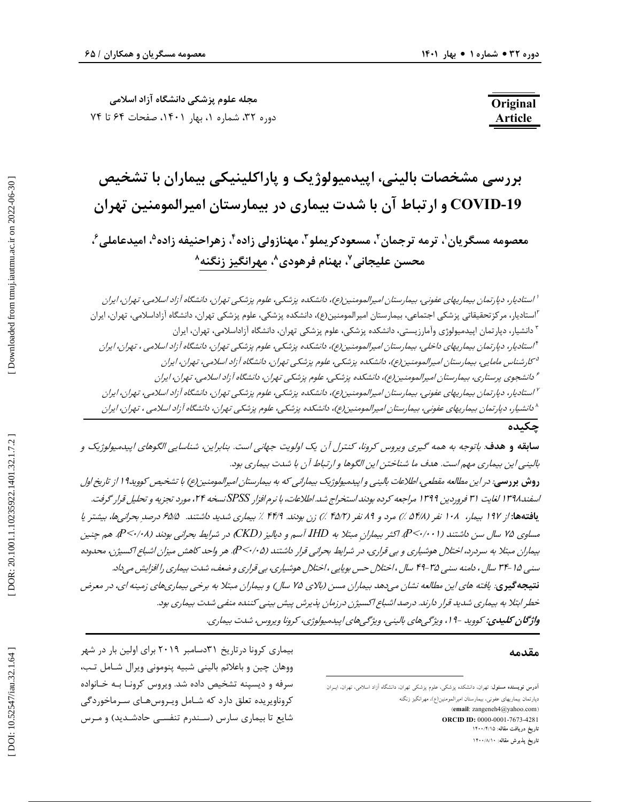**مجله علوم پزشکی دانشگاه آزاد اسلامی** دوره ۳۲، شماره ۱، بهار ۱۴۰۱، صفحات ۶۴ تا ۷۴

# **Original Article**

# **بررسی مشخصات بالینی، اپیدمیولوژیک و پاراکلینیکی بیماران با تشخیص ارتباط آن با شدت بیماري در بیمارستان امیرالمومنین تهران COVID و -19** معصومه مسگریان'، ترمه ترجمان<sup>۲</sup>، مسعودکریملو ّ، مهنازولی زاده ٔ، زهراحنیفه زاده<sup>ه</sup>، امیدعاملی ٔ، **محسن علیجانی ، بهنام فرهودي <sup>7</sup> ، مهرانگیز زنگنه <sup>8</sup> 8**

<sup>ا</sup> استادی*ار، دپارتمان بیماریهای عفونی، بیمارستان امیرالمومنین(ع)، دانشکده پزشکی، علوم پزشکی تهران، دانشگاه آزاد اسلامی، تهران، ایران<br><sup>۲</sup>استادیار، دپارتمان بیدمیولوژی وآمارزیستی، دانشکده پزشکی، علوم پزشکی، علوم پزشکی، عل* 

# **چکیده**

س**ابقه و هدف**: باتوجه به همه گیری ویروس کرونا، کنترل آن یک اولویت جهانی است. بنابراین، شناسایی الگوهای اپیدمیولوژیک و بالینی این بیماري مهم است. هدف ما شناختن این الگوها و ارتباط آن با شدت بیماري بود. **روش بررسی**: در این مطالعه مقطعی، اطلاعات بالینی و اپیدمیولوژیک بیمارانی که به بیمارستان امیرالمومنین(ع) با تشخیص کووید19 از تاریخ اول اسفند1398 لغایت 31 فروردین 1399 مراجعه کرده بودند استخراج شد. اطلاعات، با نرم افزار *SPSS* نسخه ،24 مورد تجزیه و تحلیل قرار گرفت. بیماري شدید داشتند. 65/5 درصد بحرانیها، بیشتر یا مرد و 89 نفر (45/2 %) زن بودند. 44/9 % **یافتهها:** از 197 بیمار، 108 نفر (54/8 %) مساوی ۷۵ سال سن داشتند (P<۰/۰۰۱). اکثر بیمارانِ مبتلا به IHD آسم و دیالیز (CKD) در شرایط بحرانی بودند (P<۰/۰۸). هم چنین بیماران مبتلا به سردرد، اختلال هوشیاري و بي قراري، در شرایط بحراني قرار داشتند (P<۰/۰۵). هر واحد كاهش ميزان اشباع اكسيژن، محدوده سنی -15 34 سال ، دامنه سنی -35 49 سال ، اختلال حس بویایی ، اختلال هوشیاري، بی قراري و ضعف، شدت بیماري را افزایش میداد. یافته هاي این مطالعه نشان میدهد بیماران مسن (بالاي <sup>75</sup> سال) و بیماران مبتلا به برخی بیماريهاي زمینه اي، در معرض **نتیجهگیري**: خطر ابتلا به بیماری شدید قرار دارند. درصد اشبا*ع اکسیژن درزمان پذیرش پیش بینی کننده منفی شدت بیماری بود.*<br>**واژگان کلیدی:** کووید -1 ا، ویژگ<sub>ی</sub>های بالینی، ویژگی<sub>ه</sub>های اپیدمیولوژی، کرونا ویروس، شدت بیماری.

#### **مقدمه**

**آدرس نویسنده مسئول**: تهران، دانشکده پزشکی، علوم پزشکی تهران، دانشگاه آزاد اسلامی، تهران، ایـران دپارتمان بيماريهاي عفوني، بيمارستان اميرالمومنين(ع)، مهرانگيز زنگنه (**email**: zangeneh4@yahoo.com ) **ORCID ID:** 0000-0001-7673-4281 تاریخ دریافت مقاله: ۱۴۰۰/۴/۱۵ تاریخ پذیرش مقاله: ۱۴۰۰<sub>/۸/۱</sub>۰

بیماري کرونا درتاریخ 31دسامبر 2019 براي اولین بار در شهر ووهان چین و باعلائم بالینی شبیه پنومونی ویرال شـامل تـب، سرفه و دیسپنه تشخیص داده شد. ویروس کرونـا بـه خـانواده کروناویریده تعلق دارد که شـامل ویـروس هـاي سـرماخوردگی شایع تا بیماري سارس (سـندرم تنفسـی حادشـدید) و مـرس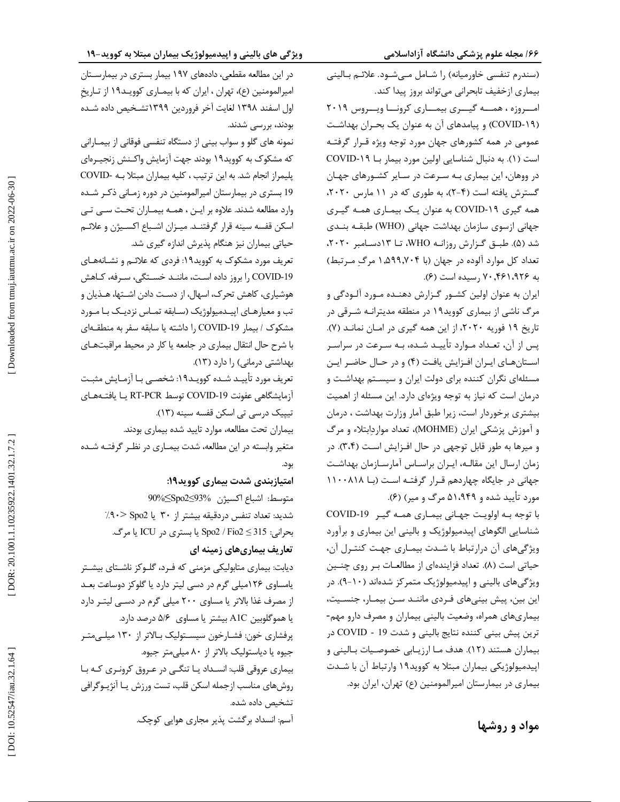(سندرم تنفسی خاورمیانه) را شــامل مـیشـود. علائـم بــالینی بیماري ازخفیف تابحرانی میتواند بروز پیدا کند. امـــروزه ، همـــه گیـــري بیمـــاري کرونـــا ویـــروس 2019 COVID (و پیامدهاي آن به عنوان یک بحـران بهداشـت -19 ) عمومی در همه کشورهاي جهان مورد توجه ویژه قـرار گرفتـه است (۱). به دنبال شناسایی اولین مورد بیمار بــا COVID-۱۹ در ووهان، این بیماري بـه سـرعت در سـایر کشـورهاي جهـان گسترش یافته است (۴-۲)، به طوری که در ۱۱ مارس ۲۰۲۰، COVID به عنوان یـک بیمـاري همـه گیـري همه گیري -19 جهانی ازسوي سازمان بهداشت جهانی (WHO (طبقـه بنـدي ). طبـق گـزارش روزانـه WHO، تـا 13دسـامبر ،2020 شد (5 تعداد کل موارد آلوده در جهان (با 1,599,704 مرگ مـرتبط) .( به 70,461،926 رسیده است (6

ایران به عنوان اولین کشـور گـزارش دهنـده مـورد آلـودگی و مرگ ناشی از بیماري کووید19 در منطقه مدیترانـه شـرقی در .( تاریخ 19 فوریه ،2020 از این همه گیري در امـان نمانـد ( 7 پس از آن، تعـداد مـوارد تأییـد شـده، بـه سـرعت در سراسـر اسـتانهـاي ايـران افـزايش يافـت (۴) و در حـال حاضـر ايـن مسئلهاي نگران کننده براي دولت ایران و سیسـتم بهداشـت و درمان است که نیاز به توجه ویژهاي دارد. این مسئله از اهمیت بیشتری برخوردار است، زیرا طبق آمار وزارت بهداشت ، درمان ، تعداد مواردابتلاء و مرگ و آموزش پزشکی ایران (MOHME( و میرها به طور قابل توجهی در حال افـزایش اسـت ( 3،4). در زمان ارسال این مقالـه، ایـران براسـاس آمارسـازمان بهداشـت جهانی در جایگاه چهاردهم قـرار گرفتـه اسـت (بـا ١١٠٠٨١٨ .( مورد تأیید شده و 51،949 مرگ و میر) (6

COVID با توجه بـه اولویـت جهـانی بیمـاري همـه گیـر -19 شناسایی الگوهاي اپیدمیولوژیک و بالینی این بیماري و برآورد ویژگیهاي آن درارتباط با شـدت بیمـاري جهـت کنتـرل آن، حیاتی است (۸). تعداد فزایندهای از مطالعــات بـر روی چنــین ویژگیهای بالینی و اپیدمیولوژیک متمرکز شدهاند (۱۰–۹). در این بین، پیش بینیهای فـردی ماننـد سـن بیمـار، جنسـیت،<br>بیماریهای همراه، وضعیت بالینی بیماران و مصرف دارو مهم- COVID در ترین پیش بینی کننده نتایج بالینی و شدت 19 - بیماران هستند (١٢). هدف مـا ارزیـابی خصوصـیات بـالینی و . اپیدمیولوژیکی بیماران مبتلا به کووید19 وارتباط آن با شـدت بیماري در بیمارستان امیرالمومنین (ع) تهران، ایران بود.

در این مطالعه مقطعی، دادههاي 197 بیمار بستري در بیمارسـتان امیرالمومنین (ع)، تهران ، ایران که با بیمـاری کوویـد١٩ از تـاریخ اول اسفند ۱۳۹۸ لغایت آخر فروردین ۱۳۹۹ تشـخیص داده شـده<br>بودند، بررسی شدند.

نمونه هاي گلو و سواب بینی از دستگاه تنفسی فوقانی از بیمـارانی که مشکوك به کووید19 بودند جهت آزمایش واکـنش زنجیـره اي COVID پلیمراز انجام شد. به این ترتیب ، کلیه بیماران مبتلا بـه - 19 بستري در بیمارستان امیرالمومنین در دوره زمـانی ذکـر شـده وارد مطالعه شدند. علاوه بر ایـن ، همـه بیمـاران تحـت سـی تـی اسکن قفسه سینه قرار گرفتنـد. میـزان اشـباع اکسـیژن و علائـم حیاتی بیماران نیز هنگام پذیرش اندازه گیري شد.

تعریف مورد مشکوک به کووید١٩: فردي که علائـم و نشـانههـاي COVID-19 را بروز داده اسـت، ماننـد خسـتگی، سـرفه، کـاهش هوشیاري، کاهش تحرك، اسهال، از دسـت دادن اشـتها، هـذیان و تب و معیارهـاي اپیـدمیولوژیک (سـابقه تمـاس نزدیـک بـا مـورد مشکوک / بیمار COVID-19 را داشته یا سابقه سفر به منطقــهای با شرح حال انتقال بیماري در جامعه یا کار در محیط مراقبتهـاي . (13 بهداشتی درمانی) را دارد (

تعریف مورد تأییـد شـده کوویـد١٩: شخصـی بـا آزمـایش مثبـت أزمايشگاهي عفونت COVID-19 توسط RT-PCR يـا يافتــهـاي تیپیک درسی تی اسکن قفسه سینه (13). بیماران تحت مطالعه، موارد تایید شده بیماري بودند. متغیر وابسته در این مطالعه، شدت بیمـاری در نظـر گرفتــه شــده بود.

**امتیازبندي شدت بیماري کووید:19** 90% متوسط: اشباع اکسیژن 93%≥2Spo≤ %90 شدید: تعداد تنفس دردقیقه بیشتر از 30 یا 2Spo> بحرانی: 315 ≥ 2Fio / 2Spo یا بستري در ICU یا مرگ. **تعاریف بیماريهاي زمینه اي** دیابت: بیماري متابولیکی مزمنی که فـرد، گلـوکز ناشـتاي بیشـتر یامساوي 126میلی گرم در دسی لیتر دارد یا گلوکز دوساعت بعـد از مصرف غذا بالاتر یا مساوي 200 میلی گرم در دسـی لیتـر دارد یا هموگلوبین A1C بیشتر یا مساوی ۵/۶ درصد دارد. پرفشاري خون: فشـارخون سیسـتولیک بـا لاتر از 130 میلـی متـر جیوه یا دیاستولیک بالاتر از 80 میلیمتر جیوه. بیماري عروقی قلب: انسـداد یـا تنگـی در عـروق کرونـري کـه بـا روشهاي مناسب ازجمله اسکن قلب، تست ورزش یـا آنژیـوگرافی تشخیص داده شده. آسم: انسداد برگشت پذیر مجاري هوایی کوچک.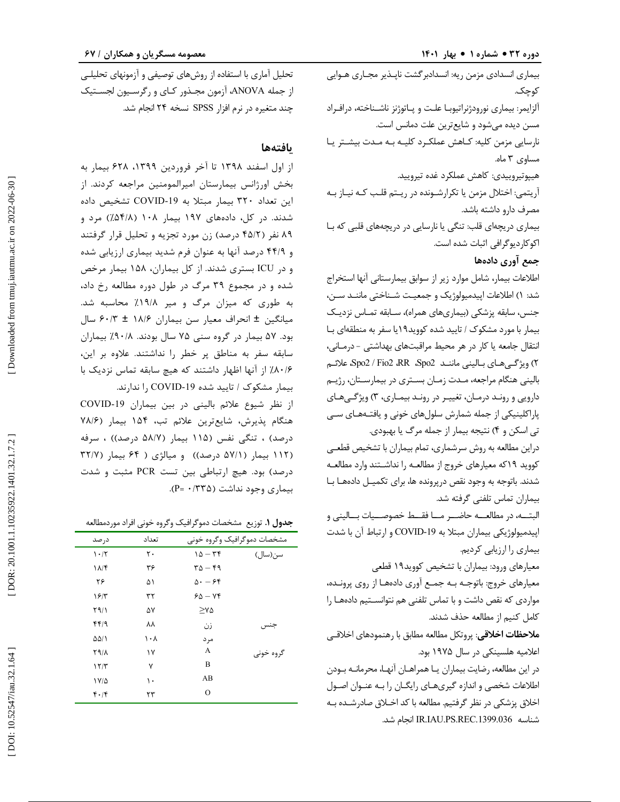بیماري انسدادي مزمن ریه: انسدادبرگشت ناپـذیر مجـاري هـوایی کوچک. آلزایمر: بیماري نورودژنراتیوبـا علـت و پـاتوژنز ناشـناخته، درافـراد مسن دیده میشود و شایعترین علت دمانس است. نارسایی مزمن کلیه: کـاهش عملکـرد کلیـه بـ ه مـدت بیشـتر یـا مساوی ۳ ماه. هیپوتیروییدي: کاهش عملکرد غده تیرویید. آریتمی: اختلال مزمن یا تکرارشـونده در ریـتم قلـب کـه نیـاز بـه مصرف دارو داشته باشد. بیماري دریچهاي قلب: تنگی یا نارسایی در دریچههاي قلبی که بـا اکوکاردیوگرافی اثبات شده است. **جمع آوري دادهها**  اطلاعات بیمار، شامل موارد زیر از سوابق بیمارستانی آنها استخراج ) اطلاعات اپیدمیولوژیک و جمعیـت شـناختی ماننـد سـن، شد: 1 جنس، سابقه پزشکی (بیماريهاي همراه)، سـابقه تمـاس نزدیـک بیمار با مورد مشکوك / تایید شده کووید19یا سفر به منطقهاي بـا انتقال جامعه یا کار در هر محیط مراقبتهاي بهداشتی - درمـانی، ۲) ویژگـی.هـای بــالینی ماننــد Spo2 / Fio2 ،RR ،Spo2، علائــم بالینی هنگام مراجعه، مـدت زمـان بسـتري در بیمارسـتان، رژیـم

دارويي و رونـد درمـان، تغييـر در رونـد بيمـاري، ٣) ويژگـيهـاي پاراکلینیکی از جمله شمارش سلولهاي خونی و یافتـه هـاي سـی تي اسکن و ۴) نتيجه بيمار از جمله مرگ يا بهبودي.

دراین مطالعه به روش سرشماري، تمام بیماران با تشخیص قطعـی کووید 19که معیارهاي خروج از مطالعـه را نداشـتند وارد مطالعـه شدند. باتوجه به وجود نقص درپرونده ها، براي تکمیـل داده هـا بـا بیماران تماس تلفنی گرفته شد.

البتــه، در مطالعــه حاضــر مــا فقــط خصوصــیات بــالینی و اپیدمیولوژیکی بیماران مبتلا به COVID-19 و ارتباط آن با شدت بیماري را ارزیابی کردیم.

معیارهاي ورود: بیماران با تشخیص کووید19 قطعی

معیارهاي خروج: باتوجـه بـه جمـع آوري داده هـا از روي پرونـده، مواردي که نقص داشت و با تماس تلفنی هم نتوانسـتیم داده هـا را کامل کنیم از مطالعه حذف شدند.

**ملاحظات اخلاقی**: پروتکل مطالعه مطابق با رهنمودهاي اخلاقـی اعلامیه هلسینکی در سال 1975 بود.

در این مطالعه، رضایت بیماران یـا همراهـان آنهـا، محرمانـه بـودن اطلاعات شخصی و اندازه گیريهـاي رایگـان را بـه عنـوان اصـول اخلاق پزشکی در نظر گرفتیم. مطالعه با کد اخـلاق صادرشـده بـه .شد انجام IR.IAU.PS.REC.1399.036 شناسه

تحلیل آماري با استفاده از روشهاي توصیفی و آزمونهاي تحلیلـی از جمله ANOVA، آزمون مجـذور کـاي و رگرســيون لجســتيک چند متغیره در نرم افزار SPSS نسخه 24 انجام شد.

# **یافتهها**

از اول اسفند 1398 تا آخر فروردین ،1399 628 بیمار به بخش اورژانس بیمارستان امیرالمومنین مراجعه کردند. از این تعداد ۳۲۰ بیمار مبتلا به COVID-19 تشخیص داده شدند. در کل، دادههای ۱۹۷ بیمار ۱۰۸ (۵۴/۸٪) مرد و 45 درصد) زن مورد تجزیه و تحلیل قرار گرفتند / 89 نفر (2 44 درصد آنها به عنوان فرم شدید بیماري ارزیابی شده / و 9 و در ICU بستري شدند. از کل بیماران، 158 بیمار مرخص شده و در مجموع 39 مرگ در طول دوره مطالعه رخ داد، به طوری که میزان مرگ و میر ۱۹/۸٪ محاسبه شد. میانگین ± انحراف معیار سن بیماران ۱۸/۶ ± ۶۰/۳ سال بود. ۵۷ بیمار در گروه سنی ۷۵ سال بودند. ۹۰/۸٪ بیماران سابقه سفر به مناطق پر خطر را نداشتند. علاوه بر این، ۸۰/۶/ از آنها اظهار داشتند که هیچ سابقه تماس نزدیک با بیمار مشکوک / تایید شده COVID-19 را ندارند.

از نظر شیوع علائم بالینی در بین بیماران COVID-19 78 / هنگام پذیرش، شایعترین علائم تب، 154 بیمار (6 درصد) ، تنگی نفس (۱۱۵ بیمار (۵۸/۷ درصد)) ، سرفه (۱۱۲ بیمار (۵۷/۱ درصد)) و میالژی ( ۶۴ بیمار (۳۲/۷ درصد) بود. هیچ ارتباطی بین تست PCR مثبت و شدت .( P = 0 /335 بیماري وجود نداشت (

توزیع مشخصات دموگرافیک وگروه خونی افراد موردمطالعه **. جدول 1**

| در صد                 | تعداد | مشخصات دموگرافیک وگروه خونی                 |           |
|-----------------------|-------|---------------------------------------------|-----------|
| 1.7                   | ٢٠    | $10 - 56$                                   | سن(سال)   |
| $\lambda/\mathcal{F}$ | ۳۶    | $\mathbf{r} \Delta - \mathbf{r} \mathbf{q}$ |           |
| ۲۶                    | ۵۱    | $\Delta - 55$                               |           |
| 19/7                  | ۳۲    | $60 - Yf$                                   |           |
| Y9/1                  | ۵٧    | $\geq$ Y $\Delta$                           |           |
| ۴۴۱۹                  | ٨٨    | زن                                          | جنس       |
| ۵۵/۱                  | ۱۰۸   | مر د                                        |           |
| <b>X911</b>           | ١٧    | A                                           | گروه خونی |
| 17/T                  | ٧     | B                                           |           |
| ۱۷۵                   | ۱۰    | AB                                          |           |
| 4.14                  | ۲۳    | $\Omega$                                    |           |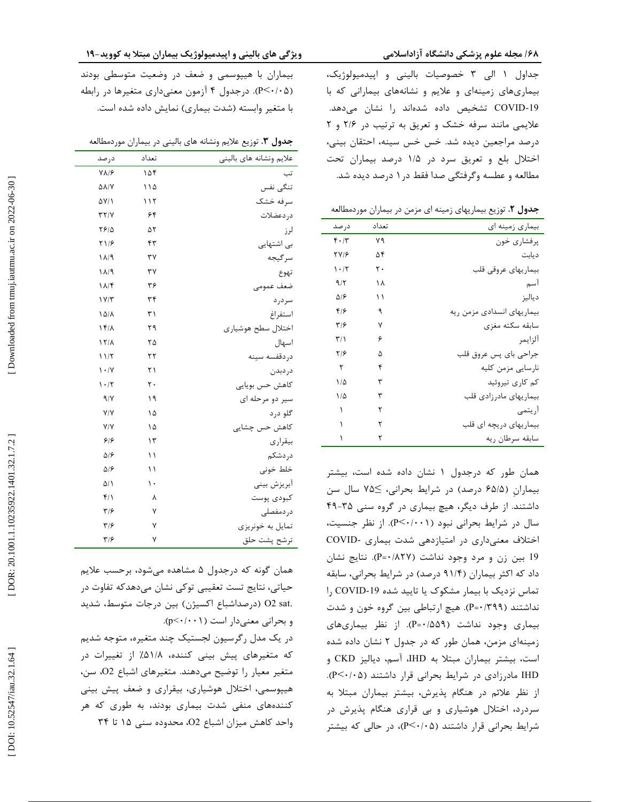جداول ۱ الی ۳ خصوصیات بالینی و اپیدمیولوژیک، بیماريهاي زمینهاي و علایم و نشانههاي بیمارانی که با COVID تشخیص داده شدهاند را نشان میدهد. -19 علایمی مانند سرفه خشک و تعریق به ترتیب در ۲/۶ و ۲ درصد مراجعین دیده شد. خس خس سینه، احتقان بینی، اختلال بلع و تعریق سرد در ۱/۵ درصد بیماران تحت مطالعه و عطسه وگرفتگی صدا فقط در ۱ درصد دیده شد.

توزیع بیماریهاي زمینه اي مزمن در بیماران موردمطالعه **. جدول 2**

| در صد                   | تعداد | بیماری زمینه ای            |
|-------------------------|-------|----------------------------|
| $F \cdot / T$           | ٧٩    | یرفشاری خون                |
| <b>TV18</b>             | ۵۴    | ديابت                      |
| $\cdot$ /٢              | ٢٠    | بيماريهاى عروقى قلب        |
| 9/7                     | ۱۸    | ا سم                       |
| ۵۱۶                     | ۱۱    | دياليز                     |
| ۴۱۶                     | ٩     | بیماریهای انسدادی مزمن ریه |
| ۳۱۶                     | ٧     | سابقه سكته مغزى            |
| $\mathbf{r}/\mathbf{r}$ | ۶     | ألزايمر                    |
| ۲۱۶                     | ۵     | جراحی بای پس عروق قلب      |
| ٢                       | ۴     | نارسايي مزمن كليه          |
| ۱۵                      | ٣     | کم کاری تیروئید            |
| ۱۵                      | ٣     | بیماریهای مادرزادی قلب     |
| ١                       | ٢     | أريتمي                     |
|                         | ۲     | بیماریهای دریچه ای قلب     |
|                         | ۲     | سابقه سرطان ريه            |

همان طور که درجدول ۱ نشان داده شده است، بیشتر بیماران (۶۵/۵ درصد) در شرایط بحرانی، ≥۷۵ سال سن داشتند. از طرف دیگر، هیچ بیماری در گروه سنی ۳۵-۴۹ سال در شرایط بحرانی نبود (P<۰/۰۰۱). از نظر جنسیت، COVID اختلاف معنیداري در امتیازدهی شدت بیماري - 19 بین زن و مرد وجود نداشت (۵۲۷/۰-=P). نتایج نشان . داد که اکثر بیماران (۹۱/۴ درصد) در شرایط بحرانی، سابقه تماس نزدیک با بیمار مشکوک یا تایید شده COVID-19 را نداشتند (P=٠/٣٩٩). هیچ ارتباطی بین گروه خون و شدت . بیماری وجود نداشت (P=۰/۵۵۹). از نظر بیماریهای . زمینهای مزمن، همان طور که در جدول ۲ نشان داده شده است، بیشتر بیماران مبتلا به IHD، آسم، دیالیز CKD و IHD مادرزادی در شرايط بحرانی قرار داشتند (P<۰/۰۵). از نظر علائم در هنگام پذیرش، بیشتر بیماران مبتلا به سردرد، اختلال هوشیاري و بی قراري هنگام پذیرش در شرایط بحرانی قرار داشتند (P<۰/۰۵)، در حالی که بیشتر

## یژگی های بالینی و اپیدمیولوژیک بیماران مبتلا به کووید-۱۹

بیماران با هیپوسمی و ضعف در وضعیت متوسطی بودند (P<۰/۰۵). درجدول ۴ آزمون معنیداری متغیرها در رابطه . با متغیر وابسته (شدت بیماري) نمایش داده شده است.

**.** توزیع علایم ونشانه هاي بالینی در بیماران موردمطالعه **جدول 3**

| علايم ونشانه هاى بالينى | تعداد | درصد                            |
|-------------------------|-------|---------------------------------|
| تب                      | ۱۵۴   | $V\Lambda$ /۶                   |
| تنگى نفس                | ۱۱۵   | <b>AA/Y</b>                     |
| سرفه خشک                | ۱۱۲   | <b>AYI</b>                      |
| د, دعضلات               | ۶۴    | YY/Y                            |
| لرز                     | ۵٢    | ۲۶۱۵                            |
| بی اشتهایی              | ۴٣    | Y1/5                            |
| سرگيجه                  | ٣٧    | $1\lambda/9$                    |
| تهوع                    | ٣٧    | ۱۸/۹                            |
| ضعف عمومى               | ۳۶    | $\lambda/\mathfrak{F}$          |
| سر در د                 | ٣۴    | ۱۷/۳                            |
| استفراغ                 | ٣١    | ۱۵۱۸                            |
| اختلال سطح هوشيارى      | ۲۹    | 15/1                            |
| اسهال                   | ۲۵    | $\frac{1}{4}$                   |
| دردقفسه سينه            | ۲۲    | 11/5                            |
| دردبدن                  | ۲۱    | $\mathcal{N} \cdot \mathcal{N}$ |
| كاهش حس بويايي          | ٢٠    | 1.7                             |
| سیر دو مرحله ای         | ۱۹    | 9/1                             |
| گلو درد                 | ۱۵    | V/Y                             |
| کاهش حس چشایی           | ۱۵    | V/Y                             |
| بيقرارى                 | ۱۳    | ۶۱۶                             |
| دردشكم                  | ۱۱    | $\Delta$ /۶                     |
| خلط خونى                | ۱۱    | ۵۱۶                             |
| آبريزش بيني             | ۱۰    | $\Delta/\Lambda$                |
| كبودى پوست              | ٨     | ۴۱۱                             |
| در دمفصلے ِ             | ٧     | $\mathbf{y}/\mathbf{y}$         |
| تمايل به خونريزي        | ٧     | $\mathbf{y}_{\mathcal{B}}$      |
| ترشح پشت حلق            | ٧     | ۳۱۶                             |
|                         |       |                                 |

همان گونه که درجدول ۵ مشاهده میشود، برحسب علایم حیاتی، نتایج تست تعقیبی توکی نشان میدهدکه تفاوت در .sat 2O) درصداشباع اکسیژن) بین درجات متوسط، شدید . (p< 0 /001 و بحرانی معنیدار است (

در یک مدل رگرسیون لجستیک چند متغیره، متوجه شدیم که متغیرهای پیش بینی کننده، ۵۱/۸٪ از تغییرات در متغیر معیار را توضیح میدهند. متغیرهاي اشباع 2O، سن، هیپوسمی، اختلال هوشیاري، بیقراري و ضعف پیش بینی کنندههاي منفی شدت بیماري بودند، به طوري که هر واحد کاهش میزان اشباع 2O، محدوده سنی 15 تا 34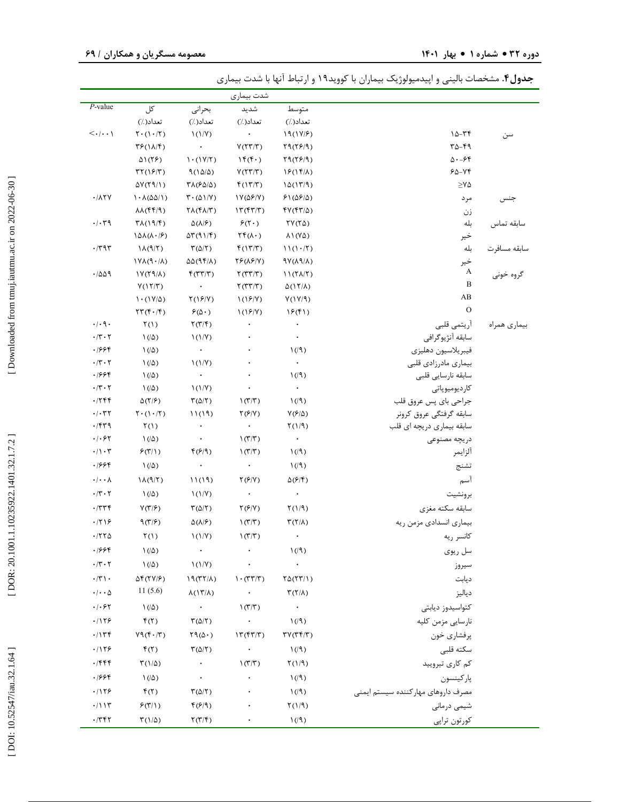| <b>جدول۴</b> . مشخصات بالینی و اپیدمیولوژیک بیماران با کووید۱۹ و ارتباط آنها با شدت بیماری |  |  |  |
|--------------------------------------------------------------------------------------------|--|--|--|
|--------------------------------------------------------------------------------------------|--|--|--|

|                                                |                                                                 |                                                   | شدت بيماري                                                                                                                    |                                               |                                     |              |
|------------------------------------------------|-----------------------------------------------------------------|---------------------------------------------------|-------------------------------------------------------------------------------------------------------------------------------|-----------------------------------------------|-------------------------------------|--------------|
| $P$ -value                                     | کل                                                              | بحرانى                                            | شديد                                                                                                                          | متوسط                                         |                                     |              |
|                                                | تعداد( ٪)                                                       | تعداد( /)                                         | تعداد( ٪)                                                                                                                     | تعداد( ٪)                                     |                                     |              |
| $\langle\cdot \cdot\cdot\rangle$               | $\Upsilon \cdot (\Upsilon \cdot / \Upsilon)$                    | $\binom{1}{V}$                                    |                                                                                                                               | 19(11/5)                                      | $10 - Tf$                           | سن           |
|                                                | $\mathcal{F}(\Lambda/\mathcal{F})$                              | $\bullet$ .                                       | V(TT/T)                                                                                                                       | Y9(Y5/9)                                      | ۳۵-۴۹                               |              |
|                                                | $\Delta$ \(۲۶)                                                  | $\left(\frac{1}{\gamma}\right)$                   | $\mathcal{M}(\mathfrak{f}\cdot)$                                                                                              | Y9(Y5/9)                                      | $\Delta - 56$                       |              |
|                                                | $\mathsf{rr}(\mathsf{S}/\mathsf{r})$                            | $9(10/\Delta)$                                    | V(TT/T)                                                                                                                       | $15(15/\lambda)$                              | ۶۵-۷۴                               |              |
|                                                | $\Delta V(T9/1)$                                                | $\Upsilon\Lambda$ ( $\delta\Delta/\Delta$ )       | f(17/T)                                                                                                                       | $1\Delta(17/9)$                               | $\geq$ Y $\Delta$                   |              |
| $\cdot$ / $\wedge$ $\vee$                      | $1.(\delta\Delta/\Delta)$                                       | $\mathbf{T} \cdot (\Delta \mathbf{1}/\mathbf{Y})$ | $\frac{1}{2}$ $\frac{1}{2}$ $\frac{1}{2}$ $\frac{1}{2}$ $\frac{1}{2}$ $\frac{1}{2}$ $\frac{1}{2}$ $\frac{1}{2}$ $\frac{1}{2}$ | $51(\Delta 5/\Delta)$                         | مرد                                 | جنس          |
|                                                | $\lambda\lambda(ff/9)$                                          | $\Upsilon\Lambda(\Upsilon\Lambda/\Upsilon)$       | $\Upsilon(\uparrow\uparrow/\uparrow)$                                                                                         | $fV(fT/\Delta)$                               | زن                                  |              |
| $\cdot/\cdot$ ٣٩                               | $\Upsilon \Lambda(19/F)$                                        | $\Delta(\Lambda/\mathcal{F})$                     | $\mathcal{F}(\mathbf{Y}\cdot)$                                                                                                | $\Upsilon V(\Upsilon \Delta)$                 | بله                                 | سابقه تماس   |
|                                                | $1\Delta\lambda(\lambda \cdot  \mathcal{F})$                    | $\Delta \Upsilon (91/\Upsilon)$                   | $\Upsilon f(\Lambda \cdot)$                                                                                                   | $\lambda$ $\lambda$ $(\lambda \Delta)$        | خير                                 |              |
| $\cdot$ /٣٩٣                                   | $\lambda(\mathcal{A}/\mathcal{F})$                              | $\Gamma(\Delta/\Gamma)$                           | f(17/T)                                                                                                                       | 11(1.7)                                       | بله                                 | سابقه مسافرت |
|                                                | $(\lambda \setminus \eta) \lambda \gamma$                       | $\Delta\Delta$ (94/1)                             | $YF(\lambda F/Y)$                                                                                                             | $\frac{1}{2}V(\lambda^q/\lambda)$             | خير                                 |              |
| .7009                                          | $\frac{1}{\sqrt{2}}$                                            | f(TT/T)                                           | $\Upsilon(T\Upsilon/T)$                                                                                                       | $11(7\lambda/T)$                              | A<br>B                              | گروه خونی    |
|                                                | V(17/T)                                                         | $\bullet$                                         | $\Upsilon(\Upsilon \Upsilon/\Upsilon)$                                                                                        | $\Delta(17/\lambda)$                          | AB                                  |              |
|                                                | $1 \cdot (1 \text{V}/\Delta)$                                   | Y(19/Y)                                           | $\binom{15}{1}$                                                                                                               | Y(1Y/9)                                       | $\mathbf{O}$                        |              |
|                                                | $\Upsilon \Upsilon (\Upsilon \cdot / \Upsilon)$                 | $\mathcal{F}(\Delta \cdot)$                       | $\binom{15}{1}$                                                                                                               | 15(f)                                         |                                     |              |
| $\cdot$ / $\cdot$ 9 $\cdot$                    | $\Upsilon(1)$                                                   | $\Upsilon(\Upsilon/\Upsilon)$                     | $\ddot{\phantom{0}}$                                                                                                          | $\bullet$                                     | آريتمي قلبي                         | بيماري همراه |
| $\cdot$ /۳ $\cdot$ ۲                           | $\left(\frac{\Delta}{2}\right)$                                 | $\binom{1}{Y}$                                    |                                                                                                                               | $\bullet$                                     | سابقه آنژیوگرافی                    |              |
| ۱۶۶۴.                                          | $\left(\frac{\Delta}{2}\right)$                                 | $\bullet$                                         |                                                                                                                               | $\frac{1}{2}$                                 | فيبريلاسيون دهليزي                  |              |
| $\cdot$ /٣ $\cdot$ ٢<br>.1999                  | $\left(\frac{\Delta}{2}\right)$<br>$\left(\sqrt{\Delta}\right)$ | $\binom{1}{Y}$<br>$\bullet$                       |                                                                                                                               | $\bullet$                                     | بيماري مادرزادي قلبي                |              |
| $\cdot$ /٣ $\cdot$ ٢                           | $\left(\sqrt{\Delta}\right)$                                    | $\binom{1}{V}$                                    |                                                                                                                               | $\left(\sqrt{2}\right)$<br>$\bullet$          | سابقه نارسايي قلبي<br>كارديوميوپاتى |              |
| .7799                                          | $\Delta(Y/\mathcal{F})$                                         | $\Gamma(\Delta/\Gamma)$                           | $\left(\frac{\pi}{r}\right)$                                                                                                  | $\frac{1}{2}$                                 | جراحي باي پس عروق قلب               |              |
| $\cdot/\cdot$ ۳۲                               | $\mathbf{Y} \cdot (\mathbf{1} \cdot \mathbf{1})$                | 11(19)                                            | $\Upsilon(\mathcal{F}/V)$                                                                                                     | $V(F/\Delta)$                                 | سابقه گرفتگی عروق کرونر             |              |
| $\cdot$ /۴۳۹                                   | $\Upsilon(1)$                                                   | $\bullet$                                         | $\bullet$                                                                                                                     | $\Gamma(1/9)$                                 | سابقه بیماری دریچه ای قلب           |              |
| $\cdot$ / $\cdot$ ۶۲                           | $\left(\sqrt{\Delta}\right)$                                    | $\star$ .                                         | $\mathcal{N}(\mathcal{T}/\mathcal{T})$                                                                                        | $\langle \cdot \rangle$                       | دريچه مصنوعي                        |              |
| $\cdot/\cdot$ ۳                                | P(T 1)                                                          | f(f q)                                            | $\mathcal{N}(\mathcal{T}/\mathcal{T})$                                                                                        | $\left(\sqrt{9}\right)$                       | ألزايمر                             |              |
| ۱۶۶۴                                           | $\left(\frac{\Delta}{2}\right)$                                 | $\bullet$                                         | $\bullet$                                                                                                                     | $\mathcal{N}(\mathcal{A})$                    | تشنج                                |              |
| $\cdot/\cdot\cdot\lambda$                      | $\lambda(\mathcal{A}/\mathcal{F})$                              | 11(19)                                            | $\Upsilon(\mathcal{F}/V)$                                                                                                     | $\Delta(\mathcal{F}/\mathcal{F})$             | آسم                                 |              |
| $\cdot$ /۳ $\cdot$ ۲                           | $\left(\frac{\Delta}{\Delta}\right)$                            | $\binom{1}{V}$                                    | $\bullet$                                                                                                                     | $\langle \cdot \rangle$                       | برونشيت                             |              |
| .7779                                          | $V(T/\mathcal{F})$                                              | $\Gamma(\Delta/\Gamma)$                           | $\Upsilon(F/Y)$                                                                                                               | $\Upsilon(1/9)$                               | سابقه سكته مغزى                     |              |
| .7799                                          | 9(7/5)                                                          | $\Delta(\lambda/\mathcal{F})$                     | $\mathcal{N}(\mathcal{T}/\mathcal{T})$                                                                                        | $\Upsilon(\Upsilon/\Lambda)$                  | بیماری انسدادی مزمن ریه             |              |
| .7770                                          |                                                                 |                                                   |                                                                                                                               | $\bullet$                                     |                                     |              |
|                                                | $\Upsilon(1)$                                                   | $\binom{1}{Y}$                                    | $\left(\frac{\pi}{r}\right)$                                                                                                  |                                               | كانسر ريه                           |              |
| ۱۶۶۴                                           | $1/(\Delta)$                                                    | $\bullet$                                         |                                                                                                                               | $\left(\sqrt{9}\right)$                       | سل ريوي                             |              |
| $\boldsymbol{\cdot}$ /٢ $\boldsymbol{\cdot}$ / | $\left(\sqrt{\Delta}\right)$                                    | $\binom{1}{V}$                                    |                                                                                                                               | $\bullet$                                     | سيروز                               |              |
| $\cdot$ /٢ \ $\cdot$                           | $\Delta \mathfrak{F}(\Upsilon \mathsf{Y} / \mathsf{F})$         | $19(TY/\Lambda)$                                  | $\mathcal{N}(\mathcal{X},\mathcal{X})$                                                                                        | $\Upsilon \Delta(\Upsilon \Upsilon/\Upsilon)$ | ديابت                               |              |
| $\cdot/\cdot\cdot\Delta$                       | 11(5.6)                                                         | $\lambda(17/\lambda)$                             | $\bullet$                                                                                                                     | $\Upsilon(\Upsilon/\Lambda)$                  | دياليز                              |              |
| $\cdot$ / $\cdot$ ۶۲                           | $\left(\sqrt{\Delta}\right)$                                    | $\rightarrow$                                     | $\mathcal{N}(\mathcal{T}/\mathcal{T})$                                                                                        | $\rightarrow$                                 | كتواسيدوز ديابتى                    |              |
| .1159                                          | $f(\tau)$                                                       | $\Gamma(\Delta/\Gamma)$                           | $\bullet$ .                                                                                                                   | $\mathcal{N}(\mathcal{A})$                    | نارسايي مزمن كليه                   |              |
| .7156                                          | $Y9(F \cdot  T)$                                                | $\Upsilon \mathfrak{A}(\Delta)$                   | $\Upsilon(\uparrow\uparrow/\uparrow)$                                                                                         | $\Upsilon V(\Upsilon \Upsilon)$               | پرفشاري خون                         |              |
| .1179                                          | f(T)                                                            | $\Gamma(\Delta/\Gamma)$                           | $\bullet$                                                                                                                     | $\left(\sqrt{3}\right)$                       | سكته قلبى                           |              |
| .7999                                          | $\Gamma(1/\Delta)$                                              | $\sim$                                            | $\mathcal{N}(\mathcal{T}/\mathcal{T})$                                                                                        | $\Upsilon(1/9)$                               | کم کاری تیرویید                     |              |
| .1999                                          | $\left(\frac{\Delta}{2}\right)$                                 | $\bullet$                                         |                                                                                                                               | $\mathcal{N}(\mathcal{A})$                    | پاركينسون                           |              |
| .1159                                          | $f(\tau)$                                                       | $\Gamma(\Delta/\Gamma)$                           |                                                                                                                               | $\mathcal{N}(\mathcal{A})$                    | مصرف داروهاى مهاركننده سيستم ايمنى  |              |
| .7117                                          | P(T 1)                                                          | $f(\mathcal{F}/\mathfrak{q})$                     | $\bullet$                                                                                                                     | $\Upsilon(1/9)$                               | شیمی درمانی                         |              |
| .7797                                          | $\Gamma(1/\Delta)$                                              | $\Upsilon(\Upsilon/\Upsilon)$                     |                                                                                                                               | $\mathcal{N}(\mathcal{A})$                    | كورتون تراپى                        |              |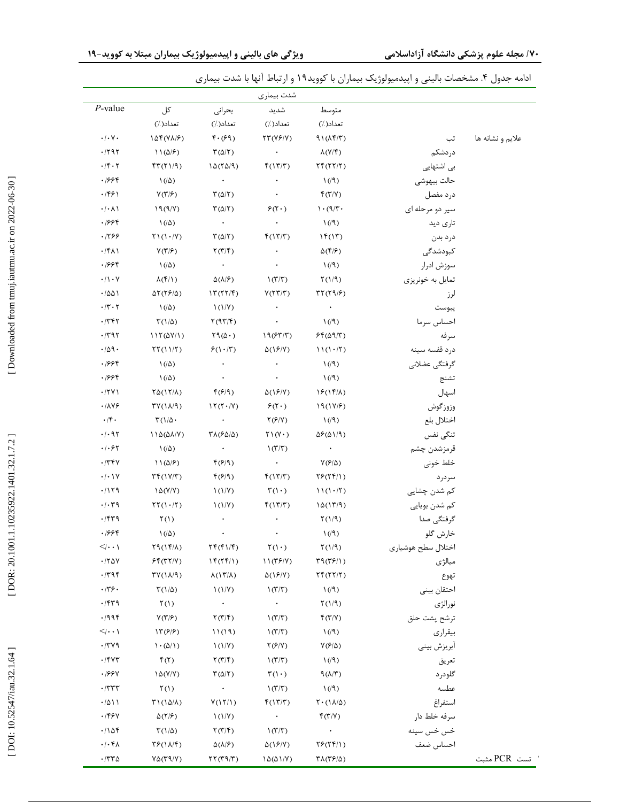|                  |                    |                                              | شدت بيماري                             |                                             |                                                        |                                   |
|------------------|--------------------|----------------------------------------------|----------------------------------------|---------------------------------------------|--------------------------------------------------------|-----------------------------------|
|                  |                    | متوسط                                        | شديد                                   | بحرانى                                      | کل                                                     | $P$ -value                        |
|                  |                    | تعداد( /)                                    | تعداد( /)                              | تعداد(٪)                                    | تعداد( /)                                              |                                   |
| علايم و نشانه ها | تب                 | $91(\lambda f/T)$                            | $\Upsilon \Upsilon (\Upsilon F/V)$     | $f \cdot (99)$                              | $\lambda \Delta f(V\lambda/\mathcal{F})$               | $\cdot$ / $\cdot$ $\vee$ $\cdot$  |
|                  | دردشكم             | $\lambda(Y/\mathfrak{F})$                    | $\bullet$                              | $\Gamma(\Delta/\Gamma)$                     | $11(\Delta/F)$                                         | .797                              |
|                  | بی اشتهایی         | $\Upsilon f(\Upsilon \Upsilon/\Upsilon)$     | f(17/T)                                | $1\Delta(\Upsilon\Delta/\Upsilon)$          | FT(T1/9)                                               | $\cdot$ /۴ $\cdot$ ۲              |
|                  | حالت بيهوشي        | $\left(\sqrt{3}\right)$                      | $\bullet$                              | $\sim$ $\sim$                               | $\left(\frac{\Delta}{2}\right)$                        | ۱۶۶۴                              |
|                  | درد مفصل           | f(T/Y)                                       | $\bullet$                              | $\Gamma(\Delta/\Gamma)$                     | $Y(\mathbf{Y} \mathcal{F})$                            | ۱۶۶۱.                             |
|                  | سیر دو مرحله ای    | $\cdot$ (٩/٣٠                                | $\mathcal{F}(\mathbf{Y}\cdot)$         | $\Gamma(\Delta/\Gamma)$                     | 19(9/Y)                                                | $\cdot/\cdot \wedge \wedge$       |
|                  | تاری دید           | $\left(\sqrt{9}\right)$                      |                                        | $\sim$ $\sim$                               | $\left(\frac{\Delta}{2}\right)$                        | ۱۶۶۴                              |
|                  | درد بدن            | $\mathcal{N}(\mathcal{N})$                   | f(17/T)                                | $\Gamma(\Delta/\Gamma)$                     | $\uparrow\uparrow(\uparrow\cdot/\uparrow)$             | .1799                             |
|                  | كبودشدگى           | $\Delta(\mathbf{f} \mathcal{F})$             |                                        | $\Upsilon(\Upsilon/\Upsilon)$               | $Y(\mathbf{Y} \mathbf{F})$                             | $\cdot$ /۴۸۱                      |
|                  | سوزش ادرار         | $\left(\sqrt{3}\right)$                      |                                        | $\sim$ $\sim$                               | $\left(\frac{1}{2}\right)$                             | ۱۶۶۴                              |
|                  | تمایل به خونریزی   | $\Upsilon(1/9)$                              | $\mathcal{N}(\mathcal{T}/\mathcal{T})$ | $\Delta(\lambda/\mathcal{F})$               | $\lambda(\mathfrak{f}/\mathfrak{1})$                   | $\cdot/\rangle \cdot \gamma$      |
|                  | لرز                | $\Gamma\Upsilon(\Upsilon\vartheta/\varphi)$  | Y(TT/T)                                | $\Upsilon(\Upsilon \Upsilon/\Upsilon)$      | $\Delta Y(YF/\Delta)$                                  | ۱۵۵۱.                             |
|                  | يبوست              | $\bullet$                                    |                                        | $\mathcal{N}(1/\mathcal{V})$                | $\left(\frac{\Delta}{2}\right)$                        | $\cdot$ /۲ $\cdot$ ۲              |
|                  | احساس سرما         | $\left(\sqrt{9}\right)$                      | $\bullet$                              | $\Upsilon(97/F)$                            | $\Gamma(1/\Delta)$                                     | .7757                             |
|                  | سرفه               | $Ff(\Delta9/T)$                              | 19(FT/T)                               | $\Upsilon(\Delta)$                          | 115(0Y/1)                                              | $\cdot$ /٣٩٢                      |
|                  | درد قفسه سينه      | 11(1.7)                                      | $\Delta(Y/Y)$                          | P(Y Y)                                      | $\Upsilon\Upsilon(11/\Upsilon)$                        | .709.                             |
|                  | گرفتگی عضلانی      | $\left(\sqrt{9}\right)$                      | $\bullet$                              | $\bullet$                                   | $\left(\frac{\Delta}{2}\right)$                        | .1999                             |
|                  | تشنج               | $\left(\sqrt{9}\right)$                      | $\bullet$                              | $\bullet$                                   | $\left(\frac{1}{2}\right)$                             | ۱۶۶۴                              |
|                  | اسهال              | $15(15/\lambda)$                             | $\Delta(15/Y)$                         | $f(\mathcal{F}/\mathfrak{q})$               | $\Upsilon \Delta(1 \Upsilon/\Lambda)$                  | .771                              |
|                  | وزوزگوش            | 19(11/5)                                     | $\mathcal{F}(\mathbf{Y}\cdot)$         | $15(T \cdot   Y)$                           | $TY(\lambda/9)$                                        | .1119                             |
|                  | اختلال بلع         | $\left(\sqrt{9}\right)$                      | $\Upsilon(F/Y)$                        |                                             | $\Gamma(1/\Delta)$                                     | $\cdot$ /۴.                       |
|                  | تنگى نفس           | $\Delta \mathcal{F}(\Delta)/\mathcal{F}$     | $\Upsilon \setminus (\Upsilon \cdot )$ | $\Upsilon\Lambda(\mathcal{F}\Delta/\Delta)$ | $11\Delta(\Delta\lambda/V)$                            | $\cdot$ / $\cdot$ 95              |
|                  | قرمزشدن چشم        | $\sim$ $\sim$                                | $\mathcal{N}(\mathcal{T}/\mathcal{T})$ | $\sim$ $\sim$                               | $\left(\frac{\Delta}{2}\right)$                        | $\cdot$ / $\cdot$ $\cdot$ $\cdot$ |
|                  | خلط خوني           | $Y($ ۶/۵)                                    | $\sim 10^{-11}$                        | f(f q)                                      | $11(\Delta/F)$                                         | .779                              |
|                  | سردرد              | YF(Yf Y)                                     | f(17/T)                                | $f(\mathcal{F}/\mathfrak{q})$               | $\uparrow\uparrow$ ( $\uparrow$ ) $\uparrow\uparrow$ ) | $\cdot/\cdot$ \Y                  |
|                  | کم شدن چشایی       | 11(1.7)                                      | $\mathcal{F}(1\cdot)$                  | $\binom{1}{V}$                              | $\lambda \Delta(Y/Y)$                                  | .7179                             |
|                  | کم شدن بویایی      | $1\Delta(17/9)$                              | f(17/T)                                | $\binom{1}{V}$                              | $\Upsilon\Upsilon(1.7)$                                | $\cdot/\cdot$ ۳۹                  |
|                  | گرفتگی صدا         | $\Upsilon(1/9)$                              |                                        | $\bullet$                                   | $\Upsilon(1)$                                          | .759                              |
|                  | خارش گلو           | $\left(\sqrt{3}\right)$                      | $\bullet$                              | $\bullet$                                   | $\left(\frac{\Delta}{2}\right)$                        | ۱۶۶۴                              |
|                  | اختلال سطح هوشياري | $\Upsilon(1/9)$                              | $\Upsilon(1)$                          | $\Upsilon f(f)/f)$                          | $\Upsilon \mathfrak{q}(\Upsilon \mathfrak{f}/\Lambda)$ | $\leq$ $\cdots$ \                 |
|                  | ميالژى             | T9(T5/1)                                     | 11(T5/Y)                               | $\mathcal{N}(\mathcal{K}(\mathcal{K}))$     | F(f(T Y))                                              | .780                              |
|                  | تهوع               | $\Upsilon f(\Upsilon \Upsilon/\Upsilon)$     | $\Delta(15/Y)$                         | $\lambda(17/\lambda)$                       | $\Upsilon V(1\lambda/9)$                               | .799                              |
|                  | احتقان بينى        | $\left(\sqrt{2}\right)$                      | $\mathcal{N}(\mathcal{T}/\mathcal{T})$ | $\binom{1}{V}$                              | $\Gamma(1/\Delta)$                                     | .779.                             |
|                  | نورالژى            | $\Upsilon(1/9)$                              |                                        | $\bullet$                                   | $\Upsilon(1)$                                          | .759                              |
|                  | ترشح پشت حلق       | f(T/Y)                                       | $\mathcal{N}(\mathcal{T}/\mathcal{T})$ | $\Upsilon(\Upsilon/\Upsilon)$               | $Y(\tau/\mathcal{F})$                                  | .7998                             |
|                  | بيقرارى            | $\left(\sqrt{3}\right)$                      | $\mathcal{N}(\mathcal{T}/\mathcal{T})$ | 11(19)                                      | $\Upsilon(\mathcal{E}/\mathcal{E})$                    | $\leq$ $\cdots$ \                 |
|                  | أبريزش بيني        | $V(F/\Delta)$                                | $\Upsilon(F/Y)$                        | $\binom{1}{V}$                              | $\langle \cdot (\Delta / 1) \rangle$                   | .779                              |
|                  | تعريق              | $\left(\sqrt{3}\right)$                      | $\mathcal{N}(\mathcal{T}/\mathcal{T})$ | $\Upsilon(\Upsilon/\Upsilon)$               | f(T)                                                   | $.$ /۴۷۳                          |
|                  | گلودرد             | 9(N/T)                                       | $\mathcal{F}(1 \cdot)$                 | $\Gamma(\Delta/\Gamma)$                     | $\lambda \Delta(Y/Y)$                                  | .199Y                             |
|                  | عطسه               | $\left(\sqrt{3}\right)$                      | $\mathcal{N}(\mathcal{T}/\mathcal{T})$ | $\bullet$                                   | $\Upsilon(1)$                                          | $\cdot$ $/$ $\tau$ $\tau$ $\tau$  |
|                  | استفراغ            | $\Upsilon \cdot (\Upsilon \Lambda / \Delta)$ | f(17/T)                                | Y(17/1)                                     | $T1(1\Delta/\Lambda)$                                  | .7011                             |
|                  | سرفه خلط دار       | f(T/Y)                                       | $\bullet$                              | $\mathcal{N}(1/\mathcal{V})$                | $\Delta(\Upsilon/\mathcal{F})$                         | ۰/۴۶۷                             |
|                  | خس خس سينه         | $\bullet$                                    | $\mathcal{N}(\mathcal{T}/\mathcal{T})$ | $\Upsilon(\Upsilon/\Upsilon)$               | $\Gamma(1/\Delta)$                                     | .708                              |
|                  | احساس ضعف          | YF(YY Y)                                     | $\Delta(15/Y)$                         | $\Delta(\lambda/\mathcal{F})$               | $\mathcal{F}(\Lambda/\mathcal{F})$                     | $\cdot/\cdot$ f $\wedge$          |
|                  |                    | $\Upsilon\Lambda(\Upsilon F/\Delta)$         | $1\Delta(\Delta)/Y$ )                  | $\Upsilon(\Upsilon(\mathfrak{q}) \Upsilon)$ | $V\Delta(\Upsilon \Upsilon/\Upsilon)$                  | $\cdot$ /٣٣ $\Delta$              |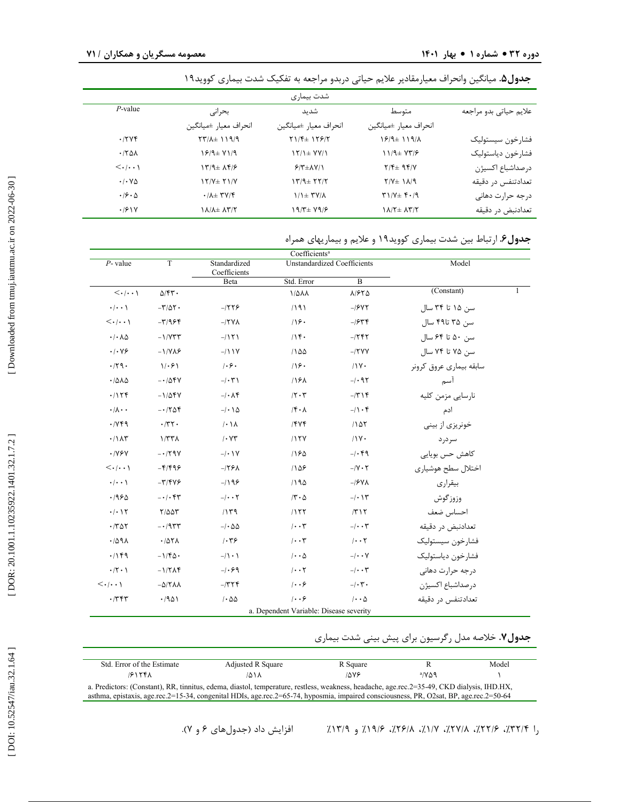|                                      |                                                          |                       | <b>جدول۵</b> . میانگین وانحراف معیارمقادیر علایم حیاتی دربدو مراجعه به تفکیک شدت بیماری کووید۱۹ |                        |
|--------------------------------------|----------------------------------------------------------|-----------------------|-------------------------------------------------------------------------------------------------|------------------------|
|                                      |                                                          | شدت بیماری            |                                                                                                 |                        |
| $P$ -value                           | بحرانى                                                   | شدىد                  | متوسط                                                                                           | علايم حياتي بدو مراجعه |
|                                      | انحراف معيار ±ميانگين                                    | انحراف معيار ±ميانگين | انحراف معيار ±ميانگين                                                                           |                        |
| .7796                                | $\Upsilon\Upsilon/\Lambda$ $\pm$ 119/9                   | $Y1/F+1Y9/Y$          | $19/4$ $119/4$                                                                                  | فشارخون سيستوليك       |
| .180A                                | $19/4 \pm 11/9$                                          | $Y/1 \pm YY/1$        | $11/9$ $\pm$ $V$ ۳/۶                                                                            | فشارخون دياستوليك      |
| $\langle \ldots \rangle$             | $177 + \lambda 9$                                        | $9/7\pm\Lambda V/1$   | $Y/F_{\pm}$ 94/Y                                                                                | درصداشباع اكسيژن       |
| $\cdot$ / $\cdot$ $\vee$ $\triangle$ | $17/V \pm 71/V$                                          | $177 + 777$           | $Y/Y_{\pm}$ 1 $\lambda$ /9                                                                      | تعدادتنفس در دقيقه     |
| $\cdot$ /9 $\cdot$ $\wedge$          | $\cdot$ / $\lambda$ $\pm$ $\uparrow$ $\vee$ / $\uparrow$ | $1/1 \pm T$ Y/A       | $T1/V \pm 1.19$                                                                                 | درجه حرارت دهانى       |
| .191V                                | $1\lambda/\lambda \pm \lambda \Upsilon/\Upsilon$         | 19/۳± 79/۶            | $1\Lambda/T$ $\pm$ $\Lambda$ ۳/٢                                                                | تعدادنبض در دقيقه      |

## **.** ارتباط بین شدت بیماري کووید19 و علایم و بیماریهاي همراه **جدول6**

|                                       |                                  |                                                    | Coefficients <sup>a</sup>               |                          |                         |
|---------------------------------------|----------------------------------|----------------------------------------------------|-----------------------------------------|--------------------------|-------------------------|
| $P$ - value                           | T                                | Standardized<br><b>Unstandardized Coefficients</b> |                                         | Model                    |                         |
|                                       |                                  | Coefficients<br>Beta                               | Std. Error                              | $\overline{B}$           |                         |
| $\langle \cdot   \cdot \cdot \rangle$ | $\Delta$ /۴۳.                    |                                                    | 1/441                                   | $A/FY\Delta$             | (Constant)<br>1         |
| $\cdot/\cdot\cdot$                    | $-\mathsf{T}/\Delta\mathsf{T}$ . | $-1559$                                            | 1191                                    | $-$ / $5Y$               | سن ۱۵ تا ۳۴ سال         |
| $\langle \cdot   \cdot \cdot \rangle$ | $-T/956$                         | $-15VA$                                            | 18.                                     | $-1544$                  | سن ۳۵ تا۴۹ سال          |
| $\cdot/\cdot \wedge \Delta$           | $-1/VTT$                         | $-1151$                                            | /                                       | $-755$                   | سن ۵۰ تا ۶۴ سال         |
| .1.19                                 | $-1/VA$                          | $-111Y$                                            | 1100                                    | $-15YY$                  | سن ۷۵ تا ۷۴ سال         |
| .79.                                  | 1.91                             | 1.9.                                               | 119.                                    | $11Y -$                  | سابقه بیماری عروق کرونر |
| .7010                                 | $-105Y$                          | $-/ \uparrow$ \                                    | 118 <sub>A</sub>                        | $-1.95$                  | آسم                     |
| .7156                                 | $-1/\Delta fV$                   | $-/-\Lambda$ ۴                                     | 17.7                                    | $  \mathbf{r} $          | نارسايي مزمن كليه       |
| $\cdot/\lambda \cdot \cdot$           | $-1708$                          | $-/-$ \ $\Delta$                                   | $ \mathbf{f} \cdot \mathbf{r} $         | $-1$ $\cdot$ $\epsilon$  | ادم                     |
| .749                                  | .777.                            | $/ \cdot \Lambda$                                  | $/$ ۴۷۴                                 | 1107                     | خونریزی از بینی         |
| $\cdot/\lambda\tau$                   | 1/TTA                            | $/$ $\cdot$ Y $\tau$                               | /15Y                                    | /1V                      | سر در د                 |
| $\cdot$ /YSV                          | $-179V$                          | $-/-$ \ Y                                          | 180                                     | $-1.89$                  | كاهش حس بويايي          |
| $\langle \cdot   \cdot \cdot \rangle$ | $-F/F99$                         | $-159A$                                            | 188                                     | $- V \cdot V $           | اختلال سطح هوشيارى      |
| $\cdot/\cdot\cdot$                    | $-\mathbf{r}/\mathbf{y}$         | $-199$                                             | 1190                                    | $-$ / $5$ V $\Lambda$    | بيقرارى                 |
| .1980                                 | $-1.54$                          | $-1$                                               | $/\tau \cdot \Delta$                    | $-/-$ \ \                | وزوزگوش                 |
| $\cdot/\cdot$ \ $\Upsilon$            | $Y/\Delta \Delta Y$              | 1179                                               | /157                                    | Y Y                      | احساس ضعف               |
| $\cdot$ /٣۵٢                          | $-195$                           | $-/ \Delta\Delta$                                  | $/ \cdot \cdot \tau$                    | $-$ / $\cdot$ $\uparrow$ | تعدادنبض در دقیقه       |
| .7091                                 | .707A                            | 1.79                                               | $/ \cdot \cdot \tau$                    | $/ \cdot \cdot 7$        | فشارخون سيستوليك        |
| .79                                   | $-1/\mathfrak{F}\Delta$ .        | $-/\lambda$ . $\lambda$                            | $1 \cdot \cdot \Delta$                  | $-/ \cdot$ Y             | فشارخون دياستوليک       |
| $\cdot$ /٢ $\cdot$ )                  | $-1/7\Lambda$ ۴                  | $-1.89$                                            | $/ \cdot \cdot \tau$                    | $-1$                     | درجه حرارت دهانى        |
| $\langle \cdot   \cdot \cdot \rangle$ | $-\Delta$ /٢٨٨                   | $ 777$                                             | $ \cdot \cdot \rangle$                  | $-1\cdot 7$ .            | در صداشباع اکسیژن       |
| $\cdot$ /۳۴۳                          | .7901                            | $1 - \Delta \Delta$                                | 1.9                                     | $/ \cdot \cdot \Delta$   | تعدادتنفس در دقیقه      |
|                                       |                                  |                                                    | a. Dependent Variable: Disease severity |                          |                         |

|  |  |  | جدول۷. خلاصه مدل رگرسیون برای پیش بینی شدت بیماری |
|--|--|--|---------------------------------------------------|
|--|--|--|---------------------------------------------------|

| Std. Error of the Estimate                                                                                                                 | Adjusted R Square | R Square |               | Model |  |  |
|--------------------------------------------------------------------------------------------------------------------------------------------|-------------------|----------|---------------|-------|--|--|
| 1815FX                                                                                                                                     | ۸۱۸/              | ۱۵۷۶     | $a/N\Delta$ 9 |       |  |  |
| a. Predictors: (Constant), RR, tinnitus, edema, diastol, temperature, restless, weakness, headache, age.rec.2=35-49, CKD dialysis, IHD.HX, |                   |          |               |       |  |  |
| asthma, epistaxis, age.rec.2=15-34, congenital HDIs, age.rec.2=65-74, hyposmia, impaired consciousness, PR, O2sat, BP, age.rec.2=50-64     |                   |          |               |       |  |  |

را ۳۲/۴٪، ۲۷/۸٪، ۲۶/۸٪، ۲۶/۸٪، ۱۹/۶٪، و ۱۳/۹٪ افزایش داد (جدولهای ۶ و ۷).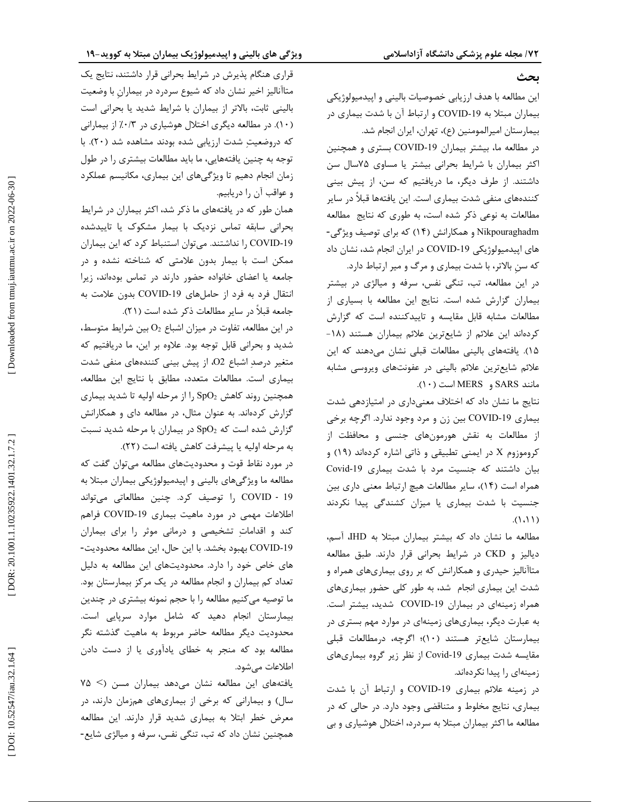#### **بحث**

این مطالعه با هدف ارزیابی خصوصیات بالینی و اپیدمیولوژیکی بیماران مبتلا به COVID-19 و ارتباط آن با شدت بیماری در بیمارستان امیرالمومنین (ع)، تهران، ایران انجام شد.

در مطالعه ما، بیشتر بیماران COVID-19 بستری و همچنین اکثر بیماران با شرایط بحرانی بیشتر یا مساوي 75سال سن داشتند. از طرف دیگر، ما دریافتیم که سن، از پیش بینی کنندههاي منفی شدت بیماري است. این یافتهها قبلاً در سایر مطالعات به نوعی ذکر شده است، به طوری که نتایج ًمطالعه<br>Nikpouraghadm و همکارانش (۱۴) که برای توصیف ویژگی-های اپیدمیولوژیکی COVID-19 در ایران انجام شد، نشان داد که سنِ بالاتر، با شدت بیماري و مرگ و میر ارتباط دارد.

در این مطالعه، تب، تنگی نفس، سرفه و میالژي در بیشتر بیماران گزارش شده است. نتایج این مطالعه با بسیاري از مطالعات مشابه قابل مقایسه و تاییدکننده است که گزارش<br>کردهاند این علائم از شایعترین علائم بیماران هستند (۱۸-15). یافتههاي بالینی مطالعات قبلی نشان میدهند که این علائم شایعترین علائم بالینی در عفونتهاي ویروسی مشابه .(10 مانند SARS و MERS است (

نتایج ما نشان داد که اختلاف معنیداري در امتیازدهی شدت بیماری COVID-19 بین زن و مرد وجود ندارد. اگرچه برخی از مطالعات به نقش هورمونهاي جنسی و محافظت از کروموزوم X در ایمنی تطبیقی و ذاتی اشاره کردهاند (۱۹) و Covid بیان داشتند که جنسیت مرد با شدت بیماري -19 14)، سایر مطالعات هیچ ارتباط معنی داري بین همراه است ( جنسیت با شدت بیماري یا میزان کشندگی پیدا نکردند .(1،11 )

مطالعه ما نشان داد که بیشتر بیماران مبتلا به IHD، آسم، CKD در شرایط بحرانی قرار دارند. طبق مطالعه دیالیز و متاآنالیز حیدری و همکارانش که بر روی بیماریهای همراه و شدت این بیماری انجام ًشد، به طور کلی حضور بیماریهای<br>همراه زمینهای در بیماران COVID-19 شدید، بیشتر است. به عبارت دیگر، بیماريهاي زمینهاي در موارد مهم بستري در بیمارستان شایعتر هستند (۱۰)؛ اگرچه، درمطالعات قبلی مقایسه شدت بیماری Covid-19 از نظر زیر گروه بیماریهای زمینهاي را پیدا نکردهاند.

در زمينه علائم بيمارى COVID-19 و ارتباط آن با شدت بیماري، نتایج مخلوط و متناقضی وجود دارد. در حالی که در مطالعه ما اکثر بیماران مبتلا به سردرد، اختلال هوشیاري و بی

قراري هنگام پذیرش در شرایط بحرانی قرار داشتند، نتایج یک متاآنالیز اخیر نشان داد که شیوع سردرد در بیمارانِ با وضعیت بالینی ثابت، بالاتر از بیماران با شرایط شدید یا بحرانی است (۱۰). در مطالعه دیگری اختلال هوشیاری در ۰/۳٪ از بیمارانی که دروضعیت شدت ارزیابی شده بودند مشاهده شد (20). با توجه به چنین یافتههایی، ما باید مطالعات بیشتري را در طول زمان انجام دهیم تا ویژگیهاي این بیماري، مکانیسم عملکرد و عواقب آن را دریابیم.

همان طور که در یافتههاي ما ذکر شد، اکثر بیماران در شرایط بحرانی سابقه تماس نزدیک با بیمار مشکوك یا تاییدشده COVID را نداشتند. میتوان استنباط کرد که این بیماران -19 ممکن است با بیمار بدون علامتی که شناخته نشده و در جامعه یا اعضاي خانواده حضور دارند در تماس بودهاند، زیرا انتقال فرد به فرد از حاملهای COVID-19 بدون علامت به . جامعه قبلاً در سایر مطالعات ذکر شده است (21)

در این مطالعه، تفاوت در میزان اشباع  $\rm O_{2}$  بین شرایط متوسط، شدید و بحرانی قابل توجه بود. علاوه بر این، ما دریافتیم که متغیر درصد اشباع 2O، از پیش بینی کنندههاي منفی شدت بیماري است. مطالعات متعدد، مطابق با نتایج این مطالعه، همچنین روند کاهش  ${\rm SpO}_2$  را از مرحله اولیه تا شدید بیماری گزارش کردهاند. به عنوان مثال، در مطالعه داي و همکارانش گزارش شده است که  ${\rm SpO}_{2}$  در بیماران با مرحله شدید نسبت به مرحله اولیه یا پیشرفت کاهش یافته است (22).

در مورد نقاط قوت و محدودیتهاي مطالعه میتوان گفت که مطالعه ما ویژگیهاي بالینی و اپیدمیولوژیکی بیماران مبتلا به COVID را توصیف کرد. چنین مطالعاتی میتواند ‐ 19 اطلاعات مهمی در مورد ماهیت بیماری COVID-19 فراهم کند و اقداماتِ تشخیصی و درمانی موثر را برای بیماران<br>COVID-19 بهبود بخشد. با این حال، این مطالعه محدودیت-هاي خاص خود را دارد. محدودیتهاي این مطالعه به دلیل تعداد کم بیماران و انجام مطالعه در یک مرکز بیمارستان بود. ما توصیه میکنیم مطالعه را با حجم نمونه بیشتري در چندین بیمارستان انجام دهید که شامل موارد سرپایی است. محدودیت دیگر مطالعه حاضر مربوط به ماهیت گذشته نگر مطالعه بود که منجر به خطاي یادآوري یا از دست دادن اطلاعات میشود.

75 یافتههاي این مطالعه نشان میدهد بیماران مسن (> سال) و بیمارانی که برخی از بیماریهای همزمان دارند، در معرض خطر ابتلا به بیماری شدید قرار دارند. این مطالعه<br>همچنین نشان داد که تب، تنگی نفس، سرفه و میالژی شایع-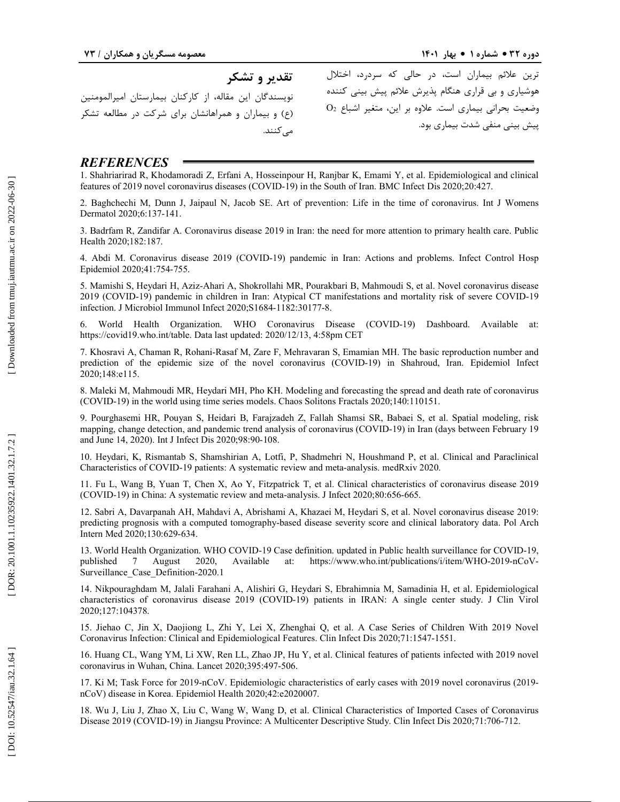**تقدیر و تشکر**  نویسندگان این مقاله، از کارکنان بیمارستان امیرالمومنین (ع) و بیماران و همراهانشان براي شرکت در مطالعه تشکر مے کنند.

ترین علائم بیماران است، در حالی که سردرد، اختلال هوشیاری و بی قراری هنگام پذیرش علائم پیش بینی کننده<br>وضعیت بحرانی بیماری است. علاوه بر این، متغیر اشباع O2 پیش بینی منفی شدت بیماري بود.

# *REFERENCES*

1. Shahriarirad R, Khodamoradi Z, Erfani A, Hosseinpour H, Ranjbar K, Emami Y, et al. Epidemiological and clinical features of 2019 novel coronavirus diseases (COVID -19) in the South of Iran. BMC Infect Dis 2020;20:427.

2. Baghchechi M, Dunn J, Jaipaul N, Jacob SE. Art of prevention: Life in the time of coronavirus. Int J Womens Dermatol 2020;6:137 -141.

3. Badrfam R, Zandifar A. Coronavirus disease 2019 in Iran: the need for more attention to primary health care. Public Health 2020;182:187.

4. Abdi M. Coronavirus disease 2019 (COVID -19) pandemic in Iran: Actions and problems. Infect Control Hosp Epidemiol 2020;41:754 -755.

5. Mamishi S, Heydari H, Aziz -Ahari A, Shokrollahi MR, Pourakbari B, Mahmoudi S, et al. Novel coronavirus disease 2019 (COVID -19) pandemic in children in Iran: Atypical CT manifestations and mortality risk of severe COVID -19 infection. J Microbiol Immunol Infect 2020;S1684 -1182:30177 -8.

6. World Health Organization. WHO Coronavirus Disease (COVID -19) Dashboard. Available at: https://covid19.who.int/table . Data last updated: 2020/12/13, 4:58pm CET

7. Khosravi A, Chaman R, Rohani -Rasaf M, Zare F, Mehravaran S, Emamian MH. The basic reproduction number and prediction of the epidemic size of the novel coronavirus (COVID -19) in Shahroud, Iran. Epidemiol Infect 2020;148:e115.

8. Maleki M, Mahmoudi MR, Heydari MH, Pho KH. Modeling and forecasting the spread and death rate of coronavirus (COVID -19) in the world using time series models. Chaos Solitons Fractals 2020;140:110151.

9. Pourghasemi HR, Pouyan S, Heidari B, Farajzadeh Z, Fallah Shamsi SR, Babaei S, et al. Spatial modeling, risk mapping, change detection, and pandemic trend analysis of coronavirus (COVID -19) in Iran (days between February 19 and June 14, 2020). Int J Infect Dis 2020;98:90 -108.

10. Heydari, K, Rismantab S, Shamshirian A, Lotfi, P, Shadmehri N, Houshmand P, et al. Clinical and Paraclinical Characteristics of COVID -19 patients: A systematic review and meta -analysis. medRxiv 2020.

11. Fu L, Wang B, Yuan T, Chen X, Ao Y, Fitzpatrick T, et al. Clinical characteristics of coronavirus disease 2019 (COVID -19) in China: A systematic review and meta -analysis. J Infect 2020;80:656 -665.

12. Sabri A, Davarpanah AH, Mahdavi A, Abrishami A, Khazaei M, Heydari S, et al. Novel coronavirus disease 2019: predicting prognosis with a computed tomography -based disease severity score and clinical laboratory data. Pol Arch Intern Med 2020;130 :629 -634.

13. World Health Organization. WHO COVID -19 Case definition. updated in Public health surveillance for COVID -19, published 7 August 2020, Available at: https://www.who.int/publications/i/item/WHO-2019-nCoV-Surveillance\_Case\_Definition -2020.1

14. Nikpouraghdam M, Jalali Farahani A, Alishiri G, Heydari S, Ebrahimnia M, Samadinia H, et al. Epidemiological characteristics of coronavirus disease 2019 (COVID -19) patients in IRAN: A single center study. J Clin Virol 2020;127:104378.

15. Jiehao C, Jin X, Daojiong L, Zhi Y, Lei X, Zhenghai Q, et al. A Case Series of Children With 2019 Novel Coronavirus Infection: Clinical and Epidemiological Features. Clin Infect Dis 2020;71:1547 -1551.

16. Huang CL, Wang YM, Li XW, Ren LL, Zhao JP, Hu Y, et al. Clinical features of patients infected with 2019 novel coronavirus in Wuhan, China. Lancet 2020;395:497 -506.

17. Ki M; Task Force for 2019 -nCoV. Epidemiologic characteristics of early cases with 2019 novel coronavirus (2019 nCoV) disease in Korea. Epidemiol Health 2020;42:e2020007.

18. Wu J, Liu J, Zhao X, Liu C, Wang W, Wang D, et al. Clinical Characteristics of Imported Cases of Coronavirus Disease 2019 (COVID-19) in Jiangsu Province: A Multicenter Descriptive Study. Clin Infect Dis 2020;71:706-712.